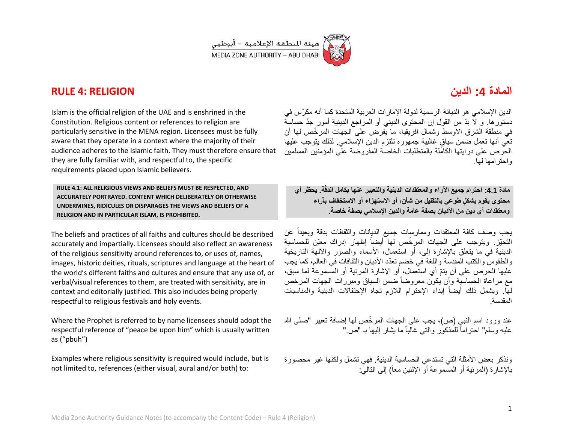

# **المادة :4 الدٌن RELIGION 4: RULE**

Islam is the official religion of the UAE and is enshrined in the Constitution. Religious content or references to religion are particularly sensitive in the MENA region. Licensees must be fully aware that they operate in a context where the majority of their audience adheres to the Islamic faith. They must therefore ensure that they are fully familiar with, and respectful to, the specific requirements placed upon Islamic believers.

**RULE 4.1: ALL RELIGIOUS VIEWS AND BELIEFS MUST BE RESPECTED, AND ACCURATELY PORTRAYED. CONTENT WHICH DELIBERATELY OR OTHERWISE UNDERMINES, RIDICULES OR DISPARAGES THE VIEWS AND BELIEFS OF A RELIGION AND IN PARTICULAR ISLAM, IS PROHIBITED.** 

The beliefs and practices of all faiths and cultures should be described accurately and impartially. Licensees should also reflect an awareness of the religious sensitivity around references to, or uses of, names, images, historic deities, rituals, scriptures and language at the heart of the world's different faiths and cultures and ensure that any use of, or verbal/visual references to them, are treated with sensitivity, are in context and editorially justified. This also includes being properly respectful to religious festivals and holy events.

Where the Prophet is referred to by name licensees should adopt the respectful reference of "peace be upon him" which is usually written as ("pbuh")

Examples where religious sensitivity is required would include, but is not limited to, references (either visual, aural and/or both) to:

الدين الإسلامي هو الديانة الرسمية لدولة الإمارات العربية المتحدة كما أنه مكرّس في دستور ها. و لاّ بدّ من القول إن المحتوى الدبني أو المراجع الدبنية أمور جدّ حساسة في منطقة الشرق الاوسط وشمال افريقيا، ما يُفرض على الجهات المرخّص لها أن تعي أنها تعمل ضمن سياقٍ غالبية جمهوره تلتزم الدين الإسلامي لذلك يتوجب عليها الحرص على درايتها الكامّلة بالمتطلبات الخاصة المفروضة على المؤمنين المسلمين واحترامها لها.

**قة. ٌحظر أي مادة :4.4 احترام جمٌع اآلراء والمعتقدات الدٌنٌة والتعبٌر عنها بكامل الدّ محتوى ٌقوم بشك ٍل طوعً بالتقلٌل من شؤن، أو االستهزاء أو االستخفاف بآراء** ومعتقدات أي دين من الأديان بصفة عامة والدين الإسلام*ي* بصفة خاصة.

يجب وصف كافة المعتقدات وممارسات جميع الديانات والثقافات بدقة وبعيداً عن التحيّز. ويتوجب على الجهات المرخّص لها أيضاً إظهار إدراك معيّن للحساسية الدينية في ما يتعلق بالإشارة إلى، أو استعمال، الأسماء والصور والآلهة التار يخية والطقوس والكتب المقدسة واللغة في خضم تعدّد الأديان والثقافات في العالم، كما يجب عليها الحرص على أن بتمّ أي استعمال، أو الإشارة المرئية أو المسموعة لما سبق، مع مر اعاة الحساسية وأن يكون معروضاً ضمن السياق ومبرر ات الجهات المرخص لمّا. ويشمل ذلك أيضاً إبداء الإحترام اللازم تجاه الإحتفالات الدينية والمناسبات المقدسة.

عند ورود اسم النبي (ص)، يجب على الجهات المرخِّص لها إضافة تعبير "صلى الله عليه وسلم" احتراماً للمذكور والتـى غالباً ما يشار إليها بـ "ص."

ونذكر بعض الأمثلة التي تستدعى الحساسية الدينية. فهي تشمل ولكنها غير محصورة بالإشارة (المرئية أو المسموعة أو الإثنين معاً) إلى التاليّ: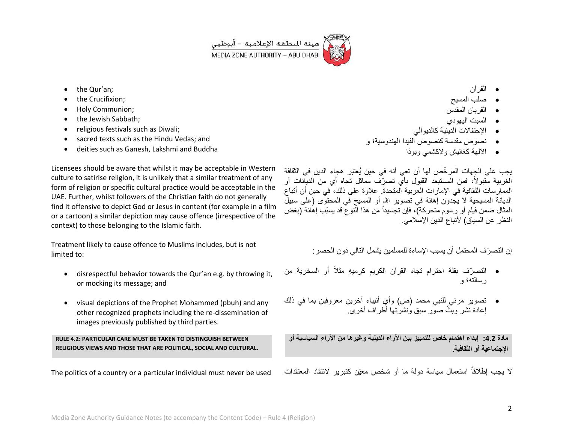

- the Qur'an;
- the Crucifixion;
- Holy Communion;
- the Jewish Sabbath;
- religious festivals such as Diwali;
- sacred texts such as the Hindu Vedas; and
- deities such as Ganesh, Lakshmi and Buddha

Licensees should be aware that whilst it may be acceptable in Western culture to satirise religion, it is unlikely that a similar treatment of any form of religion or specific cultural practice would be acceptable in the UAE. Further, whilst followers of the Christian faith do not generally find it offensive to depict God or Jesus in content (for example in a film or a cartoon) a similar depiction may cause offence (irrespective of the context) to those belonging to the Islamic faith.

Treatment likely to cause offence to Muslims includes, but is not limited to:

- disrespectful behavior towards the Qur'an e.g. by throwing it, or mocking its message; and
- visual depictions of the Prophet Mohammed (pbuh) and any other recognized prophets including the re-dissemination of images previously published by third parties.

# **RULE 4.2: PARTICULAR CARE MUST BE TAKEN TO DISTINGUISH BETWEEN RELIGIOUS VIEWS AND THOSE THAT ARE POLITICAL, SOCIAL AND CULTURAL.**

The politics of a country or a particular individual must never be used

- القرآن
- صلب المسٌح
- القربان المقدس
- السبت الٌهودي
- الإحتفالات الدينية كالديو الى
- نصوص مقدسة كنصوص الفٌدا الهندوسٌة؛ و
	- اآللهة كغانٌش والكشمً وبوذا

يجب على الجهات المرخّص لها أن تعى أنه في حين يُعتبر هجاء الدين في الثقافة الغربية مقبولاً، فمن المستبعد القبول بأي تصرّف مماثل تجاه أي من الديّانات أو الممارسات الثقافية في الإمارات العربية المتحدة. علاوة على ذلك، في حين أن أتباع الديانة المسيحية لا يجدون إهانة في تصوير الله أو المسيح في المحتوى (على سبيلٌ المثال ضمن فيلم أو رسوم متحركة)، فإن تجسيداً من هذا النوع قد يسبّب إهانة (بغض النظر عن السياق) لأتباع الدين الإسلامي.

إن التصرّ ف المحتمل أن بسبب الإساءة للمسلمين بشمل التالي دون الحصر :

- التصرّف بقلة احترام تجاه القرآن الكريم كرميهِ مثلاً أو السخرية من رسالته؛ و
- تصوير مرئي للنبي محمد (ص) وأي أنبياء آخرين معروفين بما في ذلك إعادة نشر وبنّث صوّر سبق وُنشرْتها أطراف أخرى.

**مادة :4.4 إبداء اهتمام خاص للتمٌٌز بٌن اآلراء الدٌنٌة وغٌرها من اآلراء السٌاسٌة أو اإلجتماعٌة أو الثقافٌة.**

لا يجب إطلاقاً استعمال سياسة دولة ما أو شخص معيّن كتبرير لانتقاد المعتقدات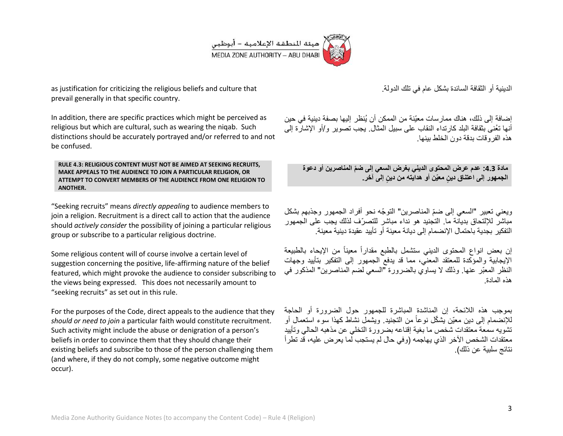

as justification for criticizing the religious beliefs and culture that prevail generally in that specific country.

In addition, there are specific practices which might be perceived as religious but which are cultural, such as wearing the niqab. Such distinctions should be accurately portrayed and/or referred to and not be confused.

**RULE 4.3: RELIGIOUS CONTENT MUST NOT BE AIMED AT SEEKING RECRUITS, MAKE APPEALS TO THE AUDIENCE TO JOIN A PARTICULAR RELIGION, OR ATTEMPT TO CONVERT MEMBERS OF THE AUDIENCE FROM ONE RELIGION TO ANOTHER.**

"Seeking recruits" means *directly appealing* to audience members to join a religion. Recruitment is a direct call to action that the audience should *actively consider* the possibility of joining a particular religious group or subscribe to a particular religious doctrine.

Some religious content will of course involve a certain level of suggestion concerning the positive, life-affirming nature of the belief featured, which might provoke the audience to consider subscribing to the views being expressed. This does not necessarily amount to "seeking recruits" as set out in this rule.

For the purposes of the Code, direct appeals to the audience that they *should or need to join* a particular faith would constitute recruitment. Such activity might include the abuse or denigration of a person's beliefs in order to convince them that they should change their existing beliefs and subscribe to those of the person challenging them (and where, if they do not comply, some negative outcome might occur).

الدينية أو الثقافة السائدة بشكل عام في تلك الدولة.

إضافة إلى ذلك، هناك ممارسات معيّنة من الممكن أن يُنظر إليها بصفة دينية في حين أنها تعُنى بثقافة البلد كارتداء النقاب على سبيل المثال. يجب تصوير و/أو الإشارة إلى هذه الفر وقات بدقة دون الخلط ببنها.

**مادة :4.4 عدم عرض المحتوى الدٌنً بغرض السعً إلى ضّم المناصرٌن أو دعوة** ا**لجمهور إلى اعتناق دينٍ معيّن أو هدايته من دينٍ إلى آخر.** 

ويعني تعبير "السعى إلى ضمّ المناصرين" التوجّه نحو أفراد الجمهور وجذبهم بشكل مباشر للإلتحاق بدبانة ما. التجنيد هو نداء مباشر للتصرّف لذلك بجب على الجمهور التفكير بجدية باحتمال الإنضمام إلى ديانة معينة أو تأييد عقيدة دينية معينة.

إن بعض انواع المحتوى الديني ستشمل بالطبع مقداراً معيناً من الإيحاء بالطبيعة الإيجابية والمؤكدة للمعتقد المعنى، مما قد يدفع الجمهور إلى التفكير بتأييد وجهات النظر المعبّر عنها. وذلك لا يساوي بالضرورة "السعى لضم المناصرين" المذكور في هذه المادة.

بموجب هذه الالئحة، إن المناشدة المباشرة للجمهور حول الضرورة أو الحاجة للإنضمام إلى دين معيّن يشكّل نوعاً من التجنيد. ويشمل نشاط كهذا سوء استعمال أو تشوبه سمعة معتقدات شخص ما بغية إقناعه بضرورة التخلي عن مذهبه الحالي وتأييد معتقدات الشخص الآخر الذي يهاجمه (وفي حال لم يستجب لما يعرض عليه، قد تطرأ نتائج سلبية عن ذلك).